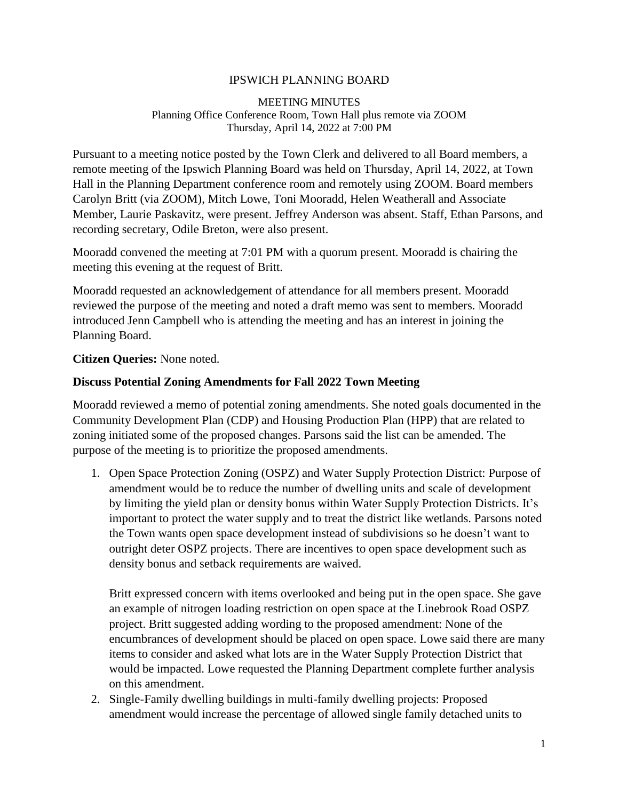## IPSWICH PLANNING BOARD

#### MEETING MINUTES Planning Office Conference Room, Town Hall plus remote via ZOOM Thursday, April 14, 2022 at 7:00 PM

Pursuant to a meeting notice posted by the Town Clerk and delivered to all Board members, a remote meeting of the Ipswich Planning Board was held on Thursday, April 14, 2022, at Town Hall in the Planning Department conference room and remotely using ZOOM. Board members Carolyn Britt (via ZOOM), Mitch Lowe, Toni Mooradd, Helen Weatherall and Associate Member, Laurie Paskavitz, were present. Jeffrey Anderson was absent. Staff, Ethan Parsons, and recording secretary, Odile Breton, were also present.

Mooradd convened the meeting at 7:01 PM with a quorum present. Mooradd is chairing the meeting this evening at the request of Britt.

Mooradd requested an acknowledgement of attendance for all members present. Mooradd reviewed the purpose of the meeting and noted a draft memo was sent to members. Mooradd introduced Jenn Campbell who is attending the meeting and has an interest in joining the Planning Board.

### **Citizen Queries:** None noted.

### **Discuss Potential Zoning Amendments for Fall 2022 Town Meeting**

Mooradd reviewed a memo of potential zoning amendments. She noted goals documented in the Community Development Plan (CDP) and Housing Production Plan (HPP) that are related to zoning initiated some of the proposed changes. Parsons said the list can be amended. The purpose of the meeting is to prioritize the proposed amendments.

1. Open Space Protection Zoning (OSPZ) and Water Supply Protection District: Purpose of amendment would be to reduce the number of dwelling units and scale of development by limiting the yield plan or density bonus within Water Supply Protection Districts. It's important to protect the water supply and to treat the district like wetlands. Parsons noted the Town wants open space development instead of subdivisions so he doesn't want to outright deter OSPZ projects. There are incentives to open space development such as density bonus and setback requirements are waived.

Britt expressed concern with items overlooked and being put in the open space. She gave an example of nitrogen loading restriction on open space at the Linebrook Road OSPZ project. Britt suggested adding wording to the proposed amendment: None of the encumbrances of development should be placed on open space. Lowe said there are many items to consider and asked what lots are in the Water Supply Protection District that would be impacted. Lowe requested the Planning Department complete further analysis on this amendment.

2. Single-Family dwelling buildings in multi-family dwelling projects: Proposed amendment would increase the percentage of allowed single family detached units to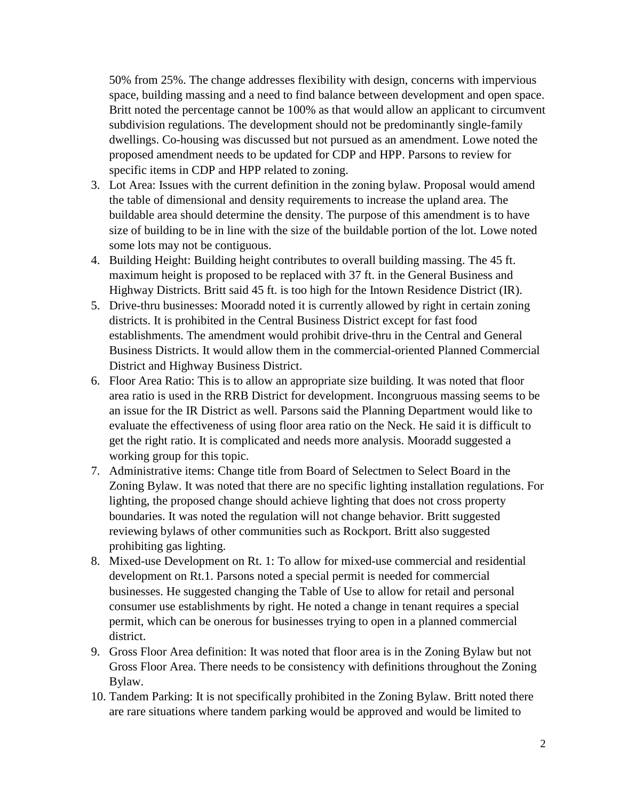50% from 25%. The change addresses flexibility with design, concerns with impervious space, building massing and a need to find balance between development and open space. Britt noted the percentage cannot be 100% as that would allow an applicant to circumvent subdivision regulations. The development should not be predominantly single-family dwellings. Co-housing was discussed but not pursued as an amendment. Lowe noted the proposed amendment needs to be updated for CDP and HPP. Parsons to review for specific items in CDP and HPP related to zoning.

- 3. Lot Area: Issues with the current definition in the zoning bylaw. Proposal would amend the table of dimensional and density requirements to increase the upland area. The buildable area should determine the density. The purpose of this amendment is to have size of building to be in line with the size of the buildable portion of the lot. Lowe noted some lots may not be contiguous.
- 4. Building Height: Building height contributes to overall building massing. The 45 ft. maximum height is proposed to be replaced with 37 ft. in the General Business and Highway Districts. Britt said 45 ft. is too high for the Intown Residence District (IR).
- 5. Drive-thru businesses: Mooradd noted it is currently allowed by right in certain zoning districts. It is prohibited in the Central Business District except for fast food establishments. The amendment would prohibit drive-thru in the Central and General Business Districts. It would allow them in the commercial-oriented Planned Commercial District and Highway Business District.
- 6. Floor Area Ratio: This is to allow an appropriate size building. It was noted that floor area ratio is used in the RRB District for development. Incongruous massing seems to be an issue for the IR District as well. Parsons said the Planning Department would like to evaluate the effectiveness of using floor area ratio on the Neck. He said it is difficult to get the right ratio. It is complicated and needs more analysis. Mooradd suggested a working group for this topic.
- 7. Administrative items: Change title from Board of Selectmen to Select Board in the Zoning Bylaw. It was noted that there are no specific lighting installation regulations. For lighting, the proposed change should achieve lighting that does not cross property boundaries. It was noted the regulation will not change behavior. Britt suggested reviewing bylaws of other communities such as Rockport. Britt also suggested prohibiting gas lighting.
- 8. Mixed-use Development on Rt. 1: To allow for mixed-use commercial and residential development on Rt.1. Parsons noted a special permit is needed for commercial businesses. He suggested changing the Table of Use to allow for retail and personal consumer use establishments by right. He noted a change in tenant requires a special permit, which can be onerous for businesses trying to open in a planned commercial district.
- 9. Gross Floor Area definition: It was noted that floor area is in the Zoning Bylaw but not Gross Floor Area. There needs to be consistency with definitions throughout the Zoning Bylaw.
- 10. Tandem Parking: It is not specifically prohibited in the Zoning Bylaw. Britt noted there are rare situations where tandem parking would be approved and would be limited to